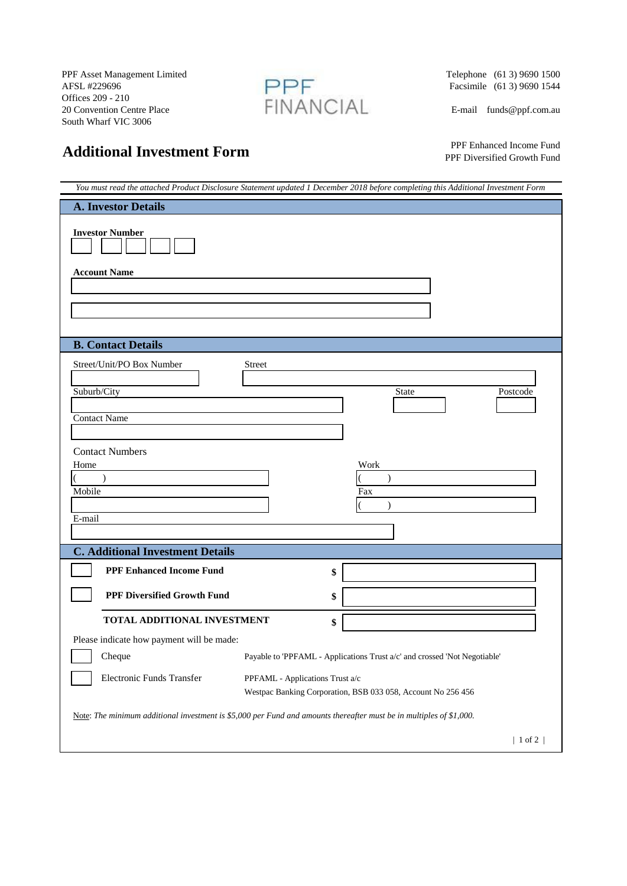PPF Asset Management Limited<br>AFSL #229696<br>Offices 209 - 210<br>20 Convention Centre Place FINANCIAL Offices 209 - 210 20 Convention Centre Place FINANCIAL E-mail funds@ppf.com.au South Wharf VIC 3006



Telephone (61 3) 9690 1500<br>Facsimile (61 3) 9690 1544

 PPF Enhanced Income Fund PPF Diversified Growth Fund

| You must read the attached Product Disclosure Statement updated 1 December 2018 before completing this Additional Investment Form |                                                                             |  |
|-----------------------------------------------------------------------------------------------------------------------------------|-----------------------------------------------------------------------------|--|
| <b>A. Investor Details</b>                                                                                                        |                                                                             |  |
| <b>Investor Number</b>                                                                                                            |                                                                             |  |
| <b>Account Name</b>                                                                                                               |                                                                             |  |
|                                                                                                                                   |                                                                             |  |
|                                                                                                                                   |                                                                             |  |
|                                                                                                                                   |                                                                             |  |
| <b>B. Contact Details</b>                                                                                                         |                                                                             |  |
| Street/Unit/PO Box Number                                                                                                         | Street                                                                      |  |
| Suburb/City                                                                                                                       | <b>State</b><br>Postcode                                                    |  |
|                                                                                                                                   |                                                                             |  |
| <b>Contact Name</b>                                                                                                               |                                                                             |  |
|                                                                                                                                   |                                                                             |  |
| <b>Contact Numbers</b><br>Home                                                                                                    | Work                                                                        |  |
|                                                                                                                                   |                                                                             |  |
| Mobile                                                                                                                            | Fax                                                                         |  |
| E-mail                                                                                                                            |                                                                             |  |
|                                                                                                                                   |                                                                             |  |
| <b>C. Additional Investment Details</b>                                                                                           |                                                                             |  |
| <b>PPF Enhanced Income Fund</b>                                                                                                   | \$                                                                          |  |
| <b>PPF Diversified Growth Fund</b>                                                                                                | \$                                                                          |  |
|                                                                                                                                   |                                                                             |  |
| TOTAL ADDITIONAL INVESTMENT                                                                                                       | \$                                                                          |  |
| Please indicate how payment will be made:                                                                                         |                                                                             |  |
| Cheque                                                                                                                            | Payable to 'PPFAML - Applications Trust $a/c'$ and crossed 'Not Negotiable' |  |
| Electronic Funds Transfer                                                                                                         | PPFAML - Applications Trust a/c                                             |  |
| Westpac Banking Corporation, BSB 033 058, Account No 256 456                                                                      |                                                                             |  |
| Note: The minimum additional investment is \$5,000 per Fund and amounts thereafter must be in multiples of \$1,000.               |                                                                             |  |
|                                                                                                                                   | $ 1$ of 2 $ $                                                               |  |
|                                                                                                                                   |                                                                             |  |

## **Additional Investment Form**